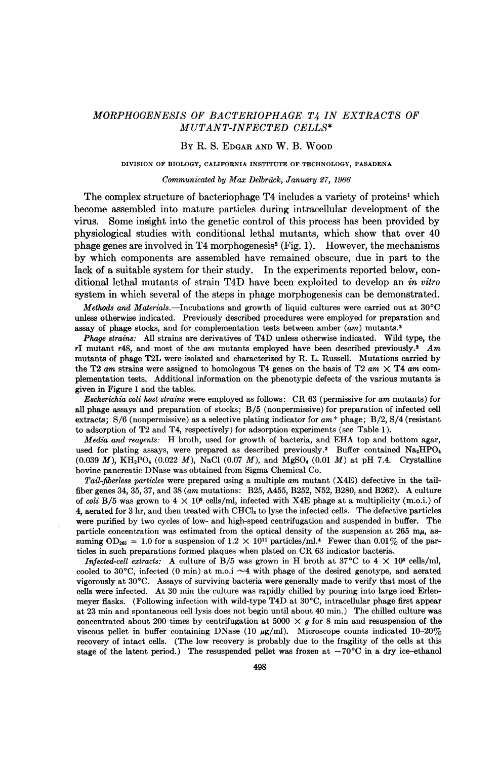# MORPHOGENESIS OF BACTERIOPHAGE T4 IN EXTRACTS OF MUTANT-INFECTED CELLS\*

## BY R. S. EDGAR AND W. B. WOOD

## DIVISION OF BIOLOGY, CALIFORNIA INSTITUTE OF TECHNOLOGY, PASADENA

#### Communicated by Max Delbrück, January 27, 1966

The complex structure of bacteriophage T4 includes a variety of proteins' which become assembled into mature particles during intracellular development of the virus. Some insight into the genetic control of this process has been provided by physiological studies with conditional lethal mutants, which show that over 40 phage genes are involved in T4 morphogenesis<sup>2</sup> (Fig. 1). However, the mechanisms by which components are assembled have remained obscure, due in part to the lack of a suitable system for their study. In the experiments reported below, conditional lethal mutants of strain T4D have been exploited to develop an in vitro system in which several of the steps in phage morphogenesis can be demonstrated.

Methods and Materials.—Incubations and growth of liquid cultures were carried out at  $30^{\circ}$ C unless otherwise indicated. Previously described procedures were employed for preparation and assay of phage stocks, and for complementation tests between amber  $(am)$  mutants.<sup>2</sup>

Phage strains: All strains are derivatives of T4D unless otherwise indicated. Wild type, the rI mutant r48, and most of the am mutants employed have been described previously.<sup>2</sup> Am mutants of phage T2L were isolated and characterized by R. L. Russell. Mutations carried by the T2 am strains were assigned to homologous T4 genes on the basis of T2 am  $\times$  T4 am complementation tests. Additional information on the phenotypic defects of the various mutants is given in Figure <sup>1</sup> and the tables.

Escherichia coli host strains were employed as follows: CR <sup>63</sup> (permissive for am mutants) for all phage assays and preparation of stocks; B/5 (nonpermissive) for preparation of infected cell extracts;  $S/6$  (nonpermissive) as a selective plating indicator for  $am^+$  phage;  $B/2$ ,  $S/4$  (resistant to adsorption of T2 and T4, respectively) for adsorption experiments (see Table 1).

Media and reagents: H broth, used for growth of bacteria, and EHA top and bottom agar, used for plating assays, were prepared as described previously.<sup>3</sup> Buffer contained Na<sub>2</sub>HPO<sub>4</sub> (0.039 M), KH<sub>2</sub>PO<sub>4</sub> (0.022 M), NaCl (0.07 M), and MgSO<sub>4</sub> (0.01 M) at pH 7.4. Crystalline bovine pancreatic DNase was obtained from Sigma Chemical Co.

Tail-fiberless particles were prepared using a multiple am mutant (X4E) defective in the tailfiber genes 34, 35, 37, and <sup>38</sup> (am mutations: B25, A455, B252, N52, B280, and B262). A culture of coli B/5 was grown to  $4 \times 10^8$  cells/ml, infected with X4E phage at a multiplicity (m.o.i.) of 4, aerated for 3 hr, and then treated with CHCl3 to lyse the infected cells. The defective particles were purified by two cycles of low- and high-speed centrifugation and suspended in buffer. The particle concentration was estimated from the optical density of the suspension at  $265 \text{ m}\mu$ , assuming OD<sub>265</sub> = 1.0 for a suspension of  $1.2 \times 10^{11}$  particles/ml.<sup>4</sup> Fewer than 0.01% of the particles in such preparations formed plaques when plated on CR <sup>63</sup> indicator bacteria.

Infected-cell extracts: A culture of B/5 was grown in H broth at 37°C to  $4 \times 10^8$  cells/ml, cooled to 30 $^{\circ}$ C, infected (0 min) at m.o.i  $\sim$ 4 with phage of the desired genotype, and aerated vigorously at 30°C. Assays of surviving bacteria were generally made to verify that most of the cells were infected. At 30 min the culture was rapidly chilled by pouring into large iced Erlenmeyer flasks. (Following infection with wild-type T4D at <sup>30</sup>'C, intracellular phage first appear at 23 min and spontaneous cell lysis does not begin until about 40 min.) The chilled culture was concentrated about 200 times by centrifugation at 5000  $\times$  g for 8 min and resuspension of the viscous pellet in buffer containing DNase (10  $\mu$ g/ml). Microscope counts indicated 10-20% recovery of intact cells. (The low recovery is probably due to the fragility of the cells at this stage of the latent period.) The resuspended pellet was frozen at  $-70^{\circ}\text{C}$  in a dry ice-ethanol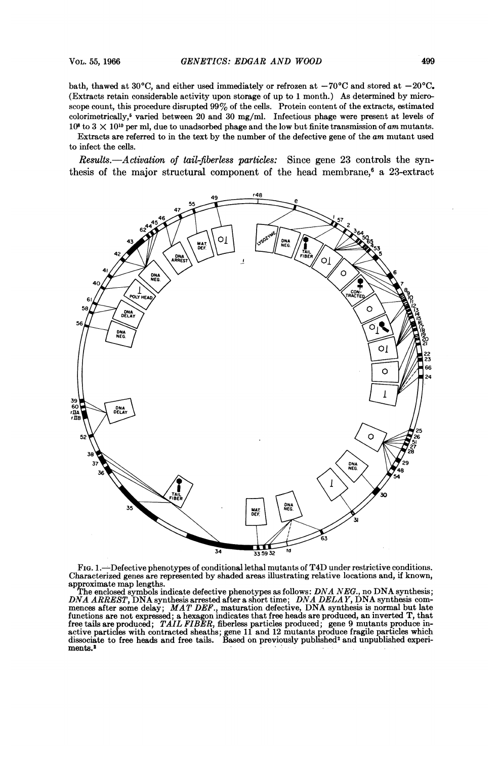Extracts are referred to in the text by the number of the defective gene of the am mutant used to infect the cells.

Results.-Activation of tail-fiberless particles: Since gene 23 controls the synthesis of the major structural component of the head membrane,<sup>6</sup> a 23-extract



FIG. 1.-Defective phenotypes of conditional lethal mutants of T4D under restrictive conditions. Characterized genes are represented by shaded areas illustrating relative locations and, if known,

approximate map lengths.<br>The enclosed symbols indicate defective phenotypes as follows:  $DNA NEG$ , no DNA synthesis; DNA ARREST, DNA synthesis arrested after a short time; DNA DELAY, DNA synthesis commences after some delay; MAT DEF., maturation defective, DNA synthesis is normal but late functions are not expressed; a hexagon indicates that free heads are produced, an inverted T, that free tails are produced; TAIL FIBER, fiberless particles produced; gene 9 mutants produce in-<br>active particles with contracted sheaths; gene 11 and 12 mutants produce fragile particles which<br>dissociate to free heads and fr media are produced, THE PLER, methods but the particles with contracted sheaths; gene 11 and 12 mids<br>active particles with contracted sheaths; gene 11 and 12 mids<br>ments.<sup>2</sup>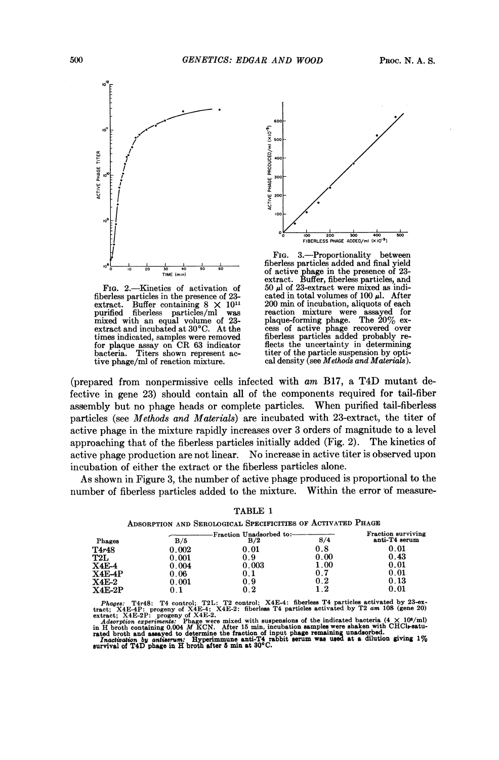

extract. Buffer containing  $\sigma$  is example of 23-<br>mixed with an equal volume of 23-<br>the incubation of  $\sigma$  at the mixed with an equal volume of 23- plaque-forming phage. The  $20\%$  exthes mucrated, samples were removed<br>for plaque assay on CR 63 indicator<br>bacteria. Titers shown represent ac-<br>tive phage/ml of reaction mixture.



FIG. 3.—Proportionality between<br>fiberless particles added and final yield  $p^{\circ}$  is interests particles added and final yield FIG. 2.—Kinetics of activation of  $\begin{array}{l}\n\text{exists} \\
\text{for, 2.}\n\end{array}$  Eq. 2.—Kinetics of activation of  $\begin{array}{l}\n\text{for, 3.}\n\end{array}$  50  $\mu$  of 23-extract were mixed as indi-<br>berless particles in the presence of 23-cated in total fiberless particles in the presence of 23-cated in total volumes of 100  $\mu$ . After extract. Buffer containing  $8 \times 10^{11}$  200 min of incubation, aliquots of each purified fibers are assayed for<br>plaque-forming phage. The 20% exextract. Buffer containing  $8 \times 10^{11}$  200 min of incubation, aliquots of each purified fiberless particles/ml was reaction mixture were assayed for extract and incubated at 30°C. At the cess of active phage recovered ov titer of the particle suspension by optical density (see *Methods and Materials*).

(prepared from nonpermissive cells infected with am B17, <sup>a</sup> T4D mutant defective in gene 23) should contain all of the components required for tail-fiber assembly but no phage heads or complete particles. When purified tail-fiberless particles (see Methods and Materials) are incubated with 23-extract, the titer of active phage in the mixture rapidly increases over 3 orders of magnitude to a level approaching that of the fiberless particles initially added (Fig. 2). The kinetics of active phage production are not linear. No increase in active titer is observed upon incubation of either the extract or the fiberless particles alone.

As shown in Figure 3, the number of active phage produced is proportional to the number of fiberless particles added to the mixture. Within the error of measure-

|                         |           | -Fraction Unadsorbed to:- |                     |                 |  |  |
|-------------------------|-----------|---------------------------|---------------------|-----------------|--|--|
| Phages                  | B/5       | B/2                       | S/4                 | anti-T4 serum   |  |  |
| $\mathrm{T}4r48$        | 0.002     | $\boldsymbol{0.01}$       | 0.8                 | 0.01            |  |  |
| T2L                     | $0.001\,$ | 0.9                       | $\boldsymbol{0.00}$ | 0.43            |  |  |
| <b>X4E-4</b>            | 0.004     | 0.003                     | $1.00\,$            | $\mathbf{0.01}$ |  |  |
| $\operatorname{X4E-4P}$ | $0.06\,$  | $0.1\,$                   | $0.7\,$             | $0.01\,$        |  |  |
| $_{\rm X4E-2}$          | $0.001\,$ | 0.9                       | 0.2                 | 0.13            |  |  |
| $X4E-2P$                | 0.1       | 0.2                       | $1.2\,$             | $0.01\,$        |  |  |
|                         |           |                           |                     |                 |  |  |

TABLE <sup>1</sup> ADSORPTION AND SEROLOGICAL SPECIFICITIES OF ACTIVATED PHAGE

Phages: T4r48: T4 control; T2L: T2 control; X4E-4: fiberless T4 particles activated by 23-extract; X4E-2: fiberless T4 particles activated by T2 am 108 (gene 20) extract; X4E-2: frogeny of X4E-4: K4E-2: fiberless T4 parti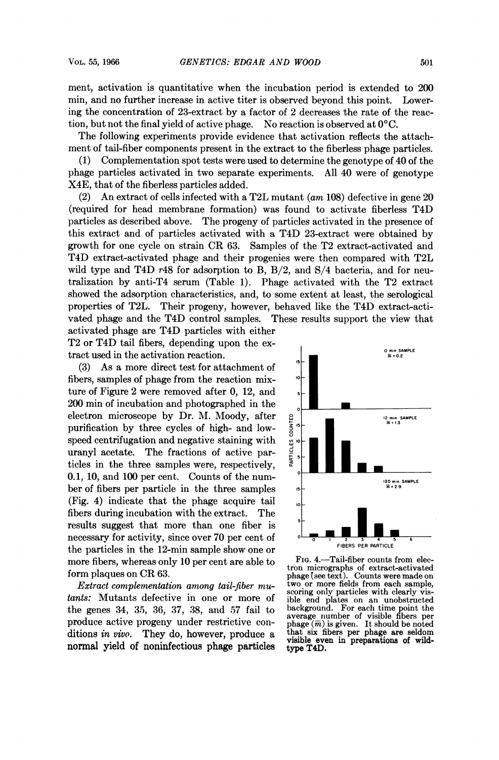ment, activation is quantitative when the incubation period is extended to 200 min, and no further increase in active titer is observed beyond this point. Lowering the concentration of 23-extract by a factor of 2 decreases the rate of the reaction, but not the final yield of active phage. No reaction is observed at  $0^{\circ}C$ .

The following experiments provide evidence that activation reflects the attachment of tail-fiber components present in the extract to the fiberless phage particles.

(1) Complementation spot tests were used to determine the genotype of 40 of the phage particles activated in two separate experiments. All 40 were of genotype X4E, that of the fiberless particles added.

(2) An extract of cells infected with a T2L mutant (am 108) defective in gene 20 (required for head membrane formation) was found to activate fiberless T4D particles as described above. The progeny of particles activated in the presence of this extract and of particles activated with a T4D 23-extract were obtained by growth for one cycle on strain CR 63. Samples of the T2 extract-activated and T4D extract-activated phage and their progenies were then compared with T2L wild type and T4D  $r48$  for adsorption to B, B/2, and S/4 bacteria, and for neutralization by anti-T4 serum (Table 1). Phage activated with the T2 extract showed the adsorption characteristics, and, to some extent at least, the serological properties of T2L. Their progeny, however, behaved like the T4D extract-activated phage and the T4D control samples. These results support the view that

activated phage are T4D particles with either T2 or T4D tail fibers, depending upon the extract used in the activation reaction.

 $(3)$  As a more direct test for attachment of fibers, samples of phage from the reaction mix-<br>
ture of Figure 2 were removed after 0, 12, and<br>
200 min of incubation and photographed in the<br>
electron microscope by Dr. M. Moody, after ture of Figure 2 were removed after  $0$ ,  $12$ , and electron microscope by Dr. M. Moody, after  $\frac{a}{5}$   $\frac{a}{5}$   $\frac{a}{5}$   $\frac{a}{5}$   $\frac{a}{5}$   $\frac{a}{5}$   $\frac{a}{5}$   $\frac{a}{5}$   $\frac{a}{5}$   $\frac{a}{5}$   $\frac{a}{5}$   $\frac{a}{5}$   $\frac{a}{5}$   $\frac{a}{5}$   $\frac{a}{5}$   $\frac{a}{5}$   $\frac{a}{5}$   $\frac{a}{5}$ purification by three cycles of high- and lowspeed centrifugation and negative staining with<br>uranyl acetate. The fractions of active par-<br>ticles in the three samples were respectively uranyl acetate. The fractions of active particles in the three samples were, respectively, 0.1, 10, and 100 per cent. Counts of the numpurification by three cycles of high- and low-<br>speed centrifugation and negative staining with<br>uranyl acetate. The fractions of active par-<br>ticles in the three samples were, respectively,<br>0.1, 10, and 100 per cent. Counts  $\frac{1}{2}$  ber of fibers per particle in the three samples is  $\frac{1}{2}$  $(Fig. 4)$  indicate that the phage acquire tail fibers during incubation with the extract. The results suggest that more than one fiber is necessary for activity, since over 70 per cent of  $\frac{1}{2}$   $\frac{1}{2}$   $\frac{1}{2}$   $\frac{1}{2}$   $\frac{1}{2}$  the porticles in the 12 min semple short and an the particles in the 12-min sample show one or<br>more fibers, whereas only 10 per cent are able to FIG. 4.—Tail-fiber counts from elecmore fibers, whereas only 10 per cent are able to  $\frac{F_{IG.}4.}{F_{III.}}$  Fig. 4.—Tail-fiber counts from elec-<br>form elec-

*Extract complementation among tail-fiber mu*-<br>two or more fields from each sample,<br>scoring only particles with clearly vis-<br>this: Mutants defective in one or more of ible end plates on an unobstructed tants: Mutants defective in one or more of ible end plates on an unobstructed<br>the genes 34, 35, 36, 37, 38, and 57 fail to background. For each time point the the genes 34, 35, 36, 37, 38, and 57 fail to produce active progeny under restrictive con-<br> $phage (\overline{m})$  is given. It should be noted ditions in vivo. They do, however, produce a that six fibers per phage are seldom visible even in preparations of wild- normal yield of noninfectious phage particles type T4D.



form plaques on CR 63.<br>  $Ertract. complementation. amoma tail-fibermu<sub>u</sub>$  wo or more fields from each sample,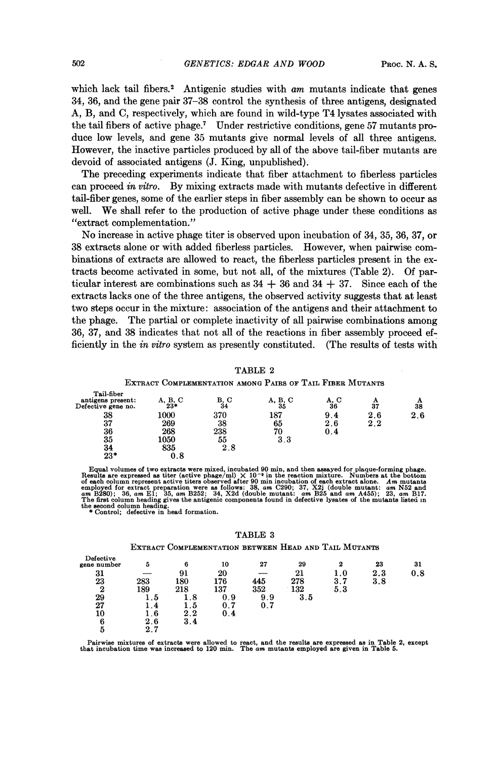which lack tail fibers.<sup>2</sup> Antigenic studies with  $am$  mutants indicate that genes 34, 36, and the gene pair 37-38 control the synthesis of three antigens, designated A, B, and C, respectively, which are found in wild-type T4 lysates associated with the tail fibers of active phage.7 Under restrictive conditions, gene 57 mutants produce low levels, and gene 35 mutants give normal levels of all three antigens. However, the inactive particles produced by all of the above tail-fiber mutants are devoid of associated antigens (J. King, unpublished).

The preceding experiments indicate that fiber attachment to fiberless particles can proceed in vitro. By mixing extracts made with mutants defective in different tail-fiber genes, some of the earlier steps in fiber assembly can be shown to occur as well. We shall refer to the production of active phage under these conditions as "extract complementation."

No increase in active phage titer is observed upon incubation of 34, 35, 36, 37, or 38 extracts alone or with added fiberless particles. However, when pairwise combinations of extracts are allowed to react, the fiberless particles present in the extracts become activated in some, but not all, of the mixtures (Table 2). Of particular interest are combinations such as  $34 + 36$  and  $34 + 37$ . Since each of the extracts lacks one of the three antigens, the observed activity suggests that at least two steps occur in the mixture: association of the antigens and their attachment to the phage. The partial or complete inactivity of all pairwise combinations among 36, 37, and 38 indicates that not all of the reactions in fiber assembly proceed efficiently in the in vitro system as presently constituted. (The results of tests with

TABLE <sup>2</sup>

EXTRACT COMPLEMENTATION AMONG PAIRS OF TAIL FIBER MUTANTS

| 38<br>370<br>187<br>1000<br>9.4<br>2.6<br>37<br>269<br>38<br>65<br>2.6<br>2.2<br>36<br>238<br>268<br>70<br>0.4<br>35<br>1050<br>3.3<br>55<br>34<br>835<br>2.8<br>$23*$<br>0.8 | Tail-fiber<br>antigens present:<br>Defective gene no. | $A, B, C$<br>23* | B, C<br>34 | A, B, C<br>35 | A, C<br>36 | А<br>37 | A<br>38 |
|-------------------------------------------------------------------------------------------------------------------------------------------------------------------------------|-------------------------------------------------------|------------------|------------|---------------|------------|---------|---------|
|                                                                                                                                                                               |                                                       |                  |            |               |            |         | 2.6     |
|                                                                                                                                                                               |                                                       |                  |            |               |            |         |         |
|                                                                                                                                                                               |                                                       |                  |            |               |            |         |         |
|                                                                                                                                                                               |                                                       |                  |            |               |            |         |         |
|                                                                                                                                                                               |                                                       |                  |            |               |            |         |         |
|                                                                                                                                                                               |                                                       |                  |            |               |            |         |         |

Equal volumes of two extracts were mixed, incubated 90 min, and then assayed for plaque-forming phage.<br>Results are expressed as titer (active phage/ml)  $\times 10^{-9}$  in the reaction mixture. Numbers at the bottom<br>of each col the second column heading. \* Control; defective in head formation.

TABLE <sup>3</sup>

EXTRACT COMPLEMENTATION BETWEEN HEAD AND TAIL MUTANTS

| Defective<br>gene number | 5              | 6   | 10  | 27  | 29  | 2       | 23  | 31  |
|--------------------------|----------------|-----|-----|-----|-----|---------|-----|-----|
| 31                       |                | 91  | 20  |     | 21  | $1.0\,$ | 2.3 | 0.8 |
| 23                       | 283            | 180 | 176 | 445 | 278 | 3.7     | 3.8 |     |
| $\boldsymbol{2}$         | 189            | 218 | 137 | 352 | 132 | 5.3     |     |     |
| 29                       | 1.5            | 1.8 | 0.9 | 9.9 | 3.5 |         |     |     |
| 27                       | $\overline{A}$ | 1.5 | 0.7 | 0.7 |     |         |     |     |
| 10                       | 1.6            | 2.2 | 0.4 |     |     |         |     |     |
| 6                        | 2.6            | 3.4 |     |     |     |         |     |     |
| 5                        | 2.7            |     |     |     |     |         |     |     |

Pairwise mixtures of extracts were allowed to react, and the results are expressed as in Table 2, except that incubation time was increased to 120 min. The am mutants employed are given in Table 5.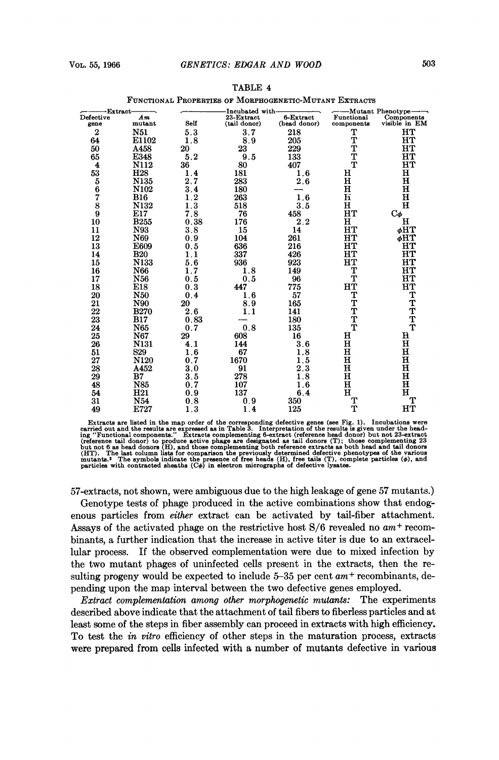|  |  | o |
|--|--|---|
|  |  |   |
|  |  |   |
|  |  |   |
|  |  |   |

| -Extract-                     |                 |                     | -Incubated with-           |                           | --Mutant Phenotype-      |                              |
|-------------------------------|-----------------|---------------------|----------------------------|---------------------------|--------------------------|------------------------------|
| Defective<br>gene             | Аm<br>mutant    | Self                | 23-Extract<br>(tail donor) | 6-Extract<br>(head donor) | Functional<br>components | Components<br>visible in EM  |
| $\overline{2}$                | <b>N51</b>      | 5.3                 | 3.7                        | 218                       | Т                        | HТ                           |
| 64                            | E1102           | 1.8                 | 8.9                        | 205                       | T                        | HТ                           |
| 50                            | A458            | 20                  | 23                         | 229                       | T                        | нт                           |
| 65                            | E348            | 5.2                 | 9.5                        | 133                       | T                        | HТ                           |
|                               | N112            |                     |                            |                           | T                        | $_{\rm HT}$                  |
| $\overline{\mathbf{4}}$<br>53 | H <sub>28</sub> | 36<br>1.4           | 80<br>181                  | 407                       | н                        | н                            |
|                               | N135            | 2.7                 | 283                        | 1.6<br>2.6                | н                        | $\bf H$                      |
| 5<br>6                        | N102            | 3.4                 | 180                        |                           | $\bf H$                  | $\bf H$                      |
| 7                             | <b>B16</b>      | 1.2                 | 263                        | 1.6                       | $\bf{H}$                 | н                            |
|                               | N132            |                     | 518                        | 3.5                       | н                        | $\mathbf H$                  |
| 8<br>9                        | E17             | 1.3<br>7.8          | 76                         | 458                       | HT                       |                              |
| 10                            | <b>B255</b>     | 0.38                | 176                        | 2.2                       | н                        | $C_{\boldsymbol{\phi}}$<br>н |
| 11                            | N93             | 3.8                 | 15                         | 14                        | HT                       | φHT                          |
| 12                            | N69             | 0.9                 | 104                        | 261                       | HТ                       | ፊHT                          |
| 13                            | E609            | 0.5                 | 636                        | 216                       | HТ                       | нт                           |
| 14                            | <b>B20</b>      | 1.1                 | 337                        | 426                       | HТ                       | HТ                           |
| 15                            | N133            | 5.6                 | 936                        | 923                       | HТ                       | HТ                           |
| 16                            | N66             | 7<br>$\mathbf{1}$ . | 1.8                        | 149                       | т                        | нT                           |
| 17                            | N56             | 0.5                 | 0.5                        | 96                        | T                        | нт                           |
| 18                            | E18             | 0.3                 | 447                        | 775                       | HТ                       | HT                           |
| 20                            | <b>N50</b>      | 0.4                 | 1.<br>6                    | 57                        | T                        |                              |
| 21                            | N90             | 20                  | 8.9                        | 165                       |                          |                              |
| $22\,$                        | <b>B270</b>     | 2.6                 | 1.1                        | 141                       |                          |                              |
| 23                            | <b>B17</b>      | 0.83                |                            | 180                       | T<br>T<br>T              | <b>TTTTT</b>                 |
| 24                            | N65             | 0.7                 | 0.8                        | 135                       | T                        |                              |
| 25                            | N67             | 29                  | 608                        | 16                        | н                        | н                            |
| 26                            | <b>N131</b>     | 4.1                 | 144                        | 3.6                       | $\bf H$                  | $\mathbf H$                  |
| 51                            | S <sub>29</sub> | 1.6                 | 67                         | 8<br>1                    | $\bf H$                  | $\mathbf H$                  |
| 27                            | <b>N120</b>     | 0.7                 | 1670                       | 5<br>1                    | н                        | $\mathbf H$                  |
| 28                            | A452            | 3.0                 | 91                         | 2.3                       | $\mathbf H$              | $\mathbf H$                  |
| 29                            | B7              | 3.5                 | 278                        | 8<br>1                    | н                        | $\mathbf H$                  |
| 48                            | N85             | 0.7                 | 107                        | 1.6                       | $\bf H$                  | $\mathbf H$                  |
| 54                            | H21             | 0.9                 | 137                        | 6.4                       | Ħ                        | $\mathbf H$                  |
| 31                            | N54             | 0.8                 | 0.9                        | 350                       | т                        | т                            |
| 49                            | E727            | 1.3                 | 4<br>1                     | 125                       | т                        | HТ                           |
|                               |                 |                     |                            |                           |                          |                              |

TABLE 4

### FUNCTIONAL PROPERTIES OF MORPHOGENETIC-MUTANT EXTRACTS

Extracts are listed in the map order of the corresponding defective genes (see Fig. 1). Incubations were<br>exampled out and the results are are pressed as in Table 3. Interpretation of the results is given under the head-<br>i

57-extracts, not shown, were ambiguous due to the high leakage of gene 57 mutants.) Genotype tests of phage produced in the active combinations show that endogenous particles from either extract can be activated by tail-fiber attachment. Assays of the activated phage on the restrictive host  $S/6$  revealed no  $am<sup>+</sup>$  recombinants, a further indication that the increase in active titer is due to an extracellular process. If the observed complementation were due to mixed infection by the two mutant phages of uninfected cells present in the extracts, then the re-

sulting progeny would be expected to include  $5-35$  per cent  $am^+$  recombinants, depending upon the map interval between the two defective genes employed. Extract complementation among other morphogenetic mutants: The experiments

described above indicate that the attachment of tail fibers to fiberless particles and at least some of the steps in fiber assembly can proceed in extracts with high efficiency. To test the *in vitro* efficiency of other steps in the maturation process, extracts were prepared from cells infected with a number of mutants defective in various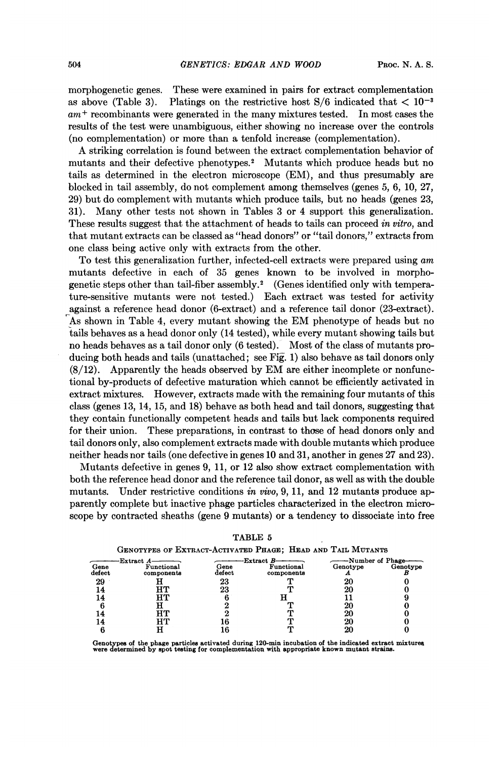morphogenetic genes. These were examined in pairs for extract complementation as above (Table 3). Platings on the restrictive host  $S/6$  indicated that  $\lt 10^{-3}$  $am$ <sup>+</sup> recombinants were generated in the many mixtures tested. In most cases the results of the test were unambiguous, either showing no increase over the controls (no complementation) or more than a tenfold increase (complementation).

A striking correlation is found between the extract complementation behavior of mutants and their defective phenotypes.2 Mutants which produce heads but no tails as determined in the electron microscope (EM), and thus presumably are blocked in tail assembly, do not complement among themselves (genes 5, 6, 10, 27, 29) but do complement with mutants which produce tails, but no heads (genes 23, 31). Many other tests not shown in Tables <sup>3</sup> or 4 support this generalization. These results suggest that the attachment of heads to tails can proceed in vitro, and that mutant extracts can be classed as "head donors" or "tail donors," extracts from one class being active only with extracts from the other.

To test this generalization further, infected-cell extracts were prepared using am mutants defective in each of 35 genes known to be involved in morphogenetic steps other than tail-fiber assembly.2 (Genes identified only with temperature-sensitive mutants were not tested.) Each extract was tested for activity against a reference head donor (6-extract) and a reference tail donor (23-extract). As shown in Table 4, every mutant showing the EM phenotype of heads but no tails behaves as a head donor only (14 tested), while every mutant showing tails but no heads behaves as a tail donor only (6 tested). Most of the class of mutants producing both heads and tails (unattached; see Fig. 1) also behave as tail donors only (8/12). Apparently the heads observed by EM are either incomplete or nonfunctional by-products of defective maturation which cannot be efficiently activated in extract mixtures. However, extracts made with the remaining four mutants of this class (genes 13, 14, 15, and 18) behave as both head and tail donors, suggesting that they contain functionally competent heads and tails but lack components required for their union. These preparations, in contrast to those of head donors only and tail donors only, also complement extracts made with double mutants which produce neither heads nor tails (one defective in genes 10 and 31, another in genes 27 and 23).

Mutants defective in genes 9, 11, or 12 also show extract complementation with both the reference head donor and the reference tail donor, as well as with the double mutants. Under restrictive conditions in vivo, 9, 11, and 12 mutants produce apparently complete but inactive phage particles characterized in the electron microscope by contracted sheaths (gene 9 mutants) or a tendency to dissociate into free

| GENOTYPES OF EXTRACT-ACTIVATED PHAGE; HEAD AND TAIL MUTANTS |                          |                |                          |                              |          |  |  |  |
|-------------------------------------------------------------|--------------------------|----------------|--------------------------|------------------------------|----------|--|--|--|
| Gene<br>defect                                              | Functional<br>components | Gene<br>defect | Functional<br>components | -Number of Phage<br>Genotype | Genotype |  |  |  |
| 29<br>14                                                    |                          | 23<br>23       |                          | 20                           |          |  |  |  |
| 14<br>14                                                    |                          |                |                          | 20<br>20                     |          |  |  |  |
| 14                                                          |                          |                |                          | 20                           |          |  |  |  |

| TABLE 5 |  |  |  |  |  |  |  |  |
|---------|--|--|--|--|--|--|--|--|
|         |  |  |  |  |  |  |  |  |
|         |  |  |  |  |  |  |  |  |

Genotypes of the phage particles activated during 120-min incubation of the indicated extract mixtures were determined by spot testing for complementatiQu with appropriate known mutant strains.